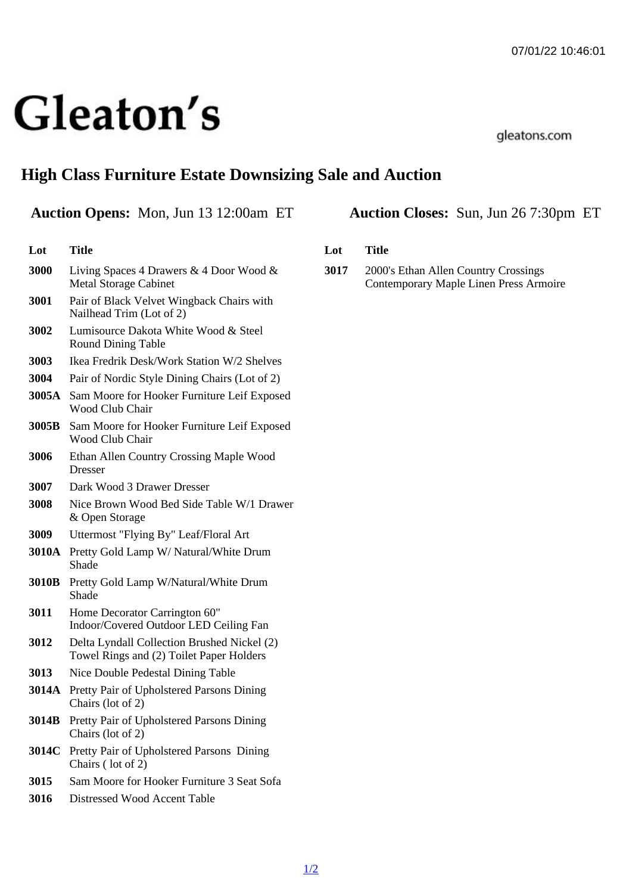# High Class Furniture Estate Downsizing Sale and Auction

## Auction Opens: Mon, Jun 13 12:00am ET Auction Closes: Sun, Jun 26 7:30pm ET

| Lot   | Title                                                                                   |
|-------|-----------------------------------------------------------------------------------------|
| 3000  | Living Spaces 4 Drawers & 4 Door Wood &<br><b>Metal Storage Cabinet</b>                 |
| 3001  | Pair of Black Velvet Wingback Chairs with<br>Nailhead Trim (Lot of 2)                   |
| 3002  | Lumisource Dakota White Wood & Steel<br><b>Round Dining Table</b>                       |
| 3003  | Ikea Fredrik Desk/Work Station W/2 Shelves                                              |
| 3004  | Pair of Nordic Style Dining Chairs (Lot of 2)                                           |
| 3005A | Sam Moore for Hooker Furniture Leif Exposed<br><b>Wood Club Chair</b>                   |
|       | 3005B Sam Moore for Hooker Furniture Leif Exposed<br><b>Wood Club Chair</b>             |
| 3006  | Ethan Allen Country Crossing Maple Wood<br><b>Dresser</b>                               |
| 3007  | Dark Wood 3 Drawer Dresser                                                              |
| 3008  | Nice Brown Wood Bed Side Table W/1 Drawer<br>& Open Storage                             |
| 3009  | Uttermost "Flying By" Leaf/Floral Art                                                   |
|       | 3010A Pretty Gold Lamp W/ Natural/White Drum<br>Shade                                   |
| 3010B | Pretty Gold Lamp W/Natural/White Drum<br>Shade                                          |
| 3011  | Home Decorator Carrington 60"<br>Indoor/Covered Outdoor LED Ceiling Fan                 |
| 3012  | Delta Lyndall Collection Brushed Nickel (2)<br>Towel Rings and (2) Toilet Paper Holders |
| 3013  | Nice Double Pedestal Dining Table                                                       |
|       | 3014A Pretty Pair of Upholstered Parsons Dining<br>Chairs (lot of 2)                    |
|       | 3014B Pretty Pair of Upholstered Parsons Dining<br>Chairs (lot of 2)                    |
|       | 3014C Pretty Pair of Upholstered Parsons Dining<br>Chairs (lot of 2)                    |
| 3015  | Sam Moore for Hooker Furniture 3 Seat Sofa                                              |
| 3016  | Distressed Wood Accent Table                                                            |

- Lot Title
- 3017 2000's Ethan Allen Country Crossings Contemporary Maple Linen Press Armoire